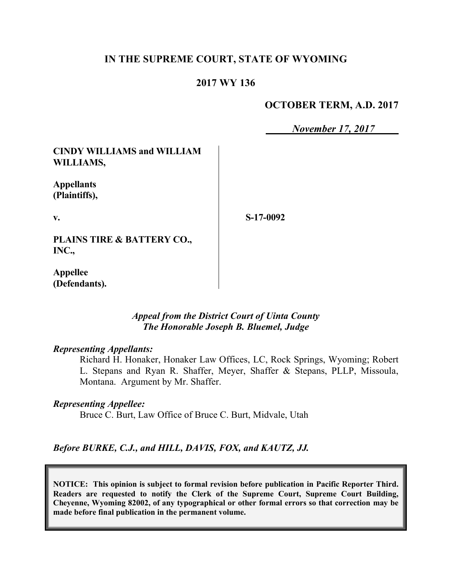# **IN THE SUPREME COURT, STATE OF WYOMING**

### **2017 WY 136**

### **OCTOBER TERM, A.D. 2017**

*November 17, 2017*

**CINDY WILLIAMS and WILLIAM WILLIAMS,**

**Appellants (Plaintiffs),**

**v.**

**S-17-0092**

**PLAINS TIRE & BATTERY CO., INC.,**

**Appellee (Defendants).**

### *Appeal from the District Court of Uinta County The Honorable Joseph B. Bluemel, Judge*

### *Representing Appellants:*

Richard H. Honaker, Honaker Law Offices, LC, Rock Springs, Wyoming; Robert L. Stepans and Ryan R. Shaffer, Meyer, Shaffer & Stepans, PLLP, Missoula, Montana. Argument by Mr. Shaffer.

#### *Representing Appellee:*

Bruce C. Burt, Law Office of Bruce C. Burt, Midvale, Utah

*Before BURKE, C.J., and HILL, DAVIS, FOX, and KAUTZ, JJ.*

**NOTICE: This opinion is subject to formal revision before publication in Pacific Reporter Third. Readers are requested to notify the Clerk of the Supreme Court, Supreme Court Building, Cheyenne, Wyoming 82002, of any typographical or other formal errors so that correction may be made before final publication in the permanent volume.**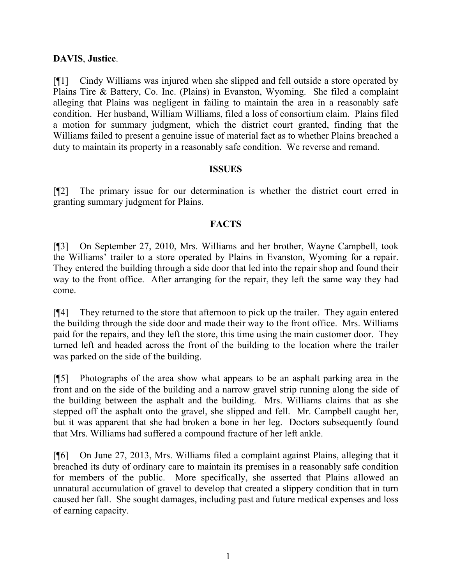# **DAVIS**, **Justice**.

[¶1] Cindy Williams was injured when she slipped and fell outside a store operated by Plains Tire & Battery, Co. Inc. (Plains) in Evanston, Wyoming. She filed a complaint alleging that Plains was negligent in failing to maintain the area in a reasonably safe condition. Her husband, William Williams, filed a loss of consortium claim. Plains filed a motion for summary judgment, which the district court granted, finding that the Williams failed to present a genuine issue of material fact as to whether Plains breached a duty to maintain its property in a reasonably safe condition. We reverse and remand.

# **ISSUES**

[¶2] The primary issue for our determination is whether the district court erred in granting summary judgment for Plains.

# **FACTS**

[¶3] On September 27, 2010, Mrs. Williams and her brother, Wayne Campbell, took the Williams' trailer to a store operated by Plains in Evanston, Wyoming for a repair. They entered the building through a side door that led into the repair shop and found their way to the front office. After arranging for the repair, they left the same way they had come.

[¶4] They returned to the store that afternoon to pick up the trailer. They again entered the building through the side door and made their way to the front office. Mrs. Williams paid for the repairs, and they left the store, this time using the main customer door. They turned left and headed across the front of the building to the location where the trailer was parked on the side of the building.

[¶5] Photographs of the area show what appears to be an asphalt parking area in the front and on the side of the building and a narrow gravel strip running along the side of the building between the asphalt and the building. Mrs. Williams claims that as she stepped off the asphalt onto the gravel, she slipped and fell. Mr. Campbell caught her, but it was apparent that she had broken a bone in her leg. Doctors subsequently found that Mrs. Williams had suffered a compound fracture of her left ankle.

[¶6] On June 27, 2013, Mrs. Williams filed a complaint against Plains, alleging that it breached its duty of ordinary care to maintain its premises in a reasonably safe condition for members of the public. More specifically, she asserted that Plains allowed an unnatural accumulation of gravel to develop that created a slippery condition that in turn caused her fall. She sought damages, including past and future medical expenses and loss of earning capacity.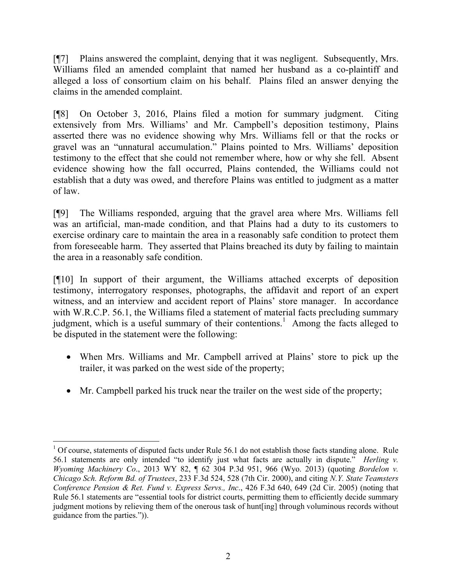[¶7] Plains answered the complaint, denying that it was negligent. Subsequently, Mrs. Williams filed an amended complaint that named her husband as a co-plaintiff and alleged a loss of consortium claim on his behalf. Plains filed an answer denying the claims in the amended complaint.

[¶8] On October 3, 2016, Plains filed a motion for summary judgment. Citing extensively from Mrs. Williams' and Mr. Campbell's deposition testimony, Plains asserted there was no evidence showing why Mrs. Williams fell or that the rocks or gravel was an "unnatural accumulation." Plains pointed to Mrs. Williams' deposition testimony to the effect that she could not remember where, how or why she fell. Absent evidence showing how the fall occurred, Plains contended, the Williams could not establish that a duty was owed, and therefore Plains was entitled to judgment as a matter of law.

[¶9] The Williams responded, arguing that the gravel area where Mrs. Williams fell was an artificial, man-made condition, and that Plains had a duty to its customers to exercise ordinary care to maintain the area in a reasonably safe condition to protect them from foreseeable harm. They asserted that Plains breached its duty by failing to maintain the area in a reasonably safe condition.

[¶10] In support of their argument, the Williams attached excerpts of deposition testimony, interrogatory responses, photographs, the affidavit and report of an expert witness, and an interview and accident report of Plains' store manager. In accordance with W.R.C.P. 56.1, the Williams filed a statement of material facts precluding summary judgment, which is a useful summary of their contentions.<sup>1</sup> Among the facts alleged to be disputed in the statement were the following:

- When Mrs. Williams and Mr. Campbell arrived at Plains' store to pick up the trailer, it was parked on the west side of the property;
- Mr. Campbell parked his truck near the trailer on the west side of the property;

l  $1$  Of course, statements of disputed facts under Rule 56.1 do not establish those facts standing alone. Rule 56.1 statements are only intended "to identify just what facts are actually in dispute." *Herling v. Wyoming Machinery Co*., 2013 WY 82, ¶ 62 304 P.3d 951, 966 (Wyo. 2013) (quoting *Bordelon v. Chicago Sch. Reform Bd. of Trustees*, 233 F.3d 524, 528 (7th Cir. 2000), and citing *N.Y. State Teamsters Conference Pension & Ret. Fund v. Express Servs., Inc*., 426 F.3d 640, 649 (2d Cir. 2005) (noting that Rule 56.1 statements are "essential tools for district courts, permitting them to efficiently decide summary judgment motions by relieving them of the onerous task of hunt[ing] through voluminous records without guidance from the parties.")).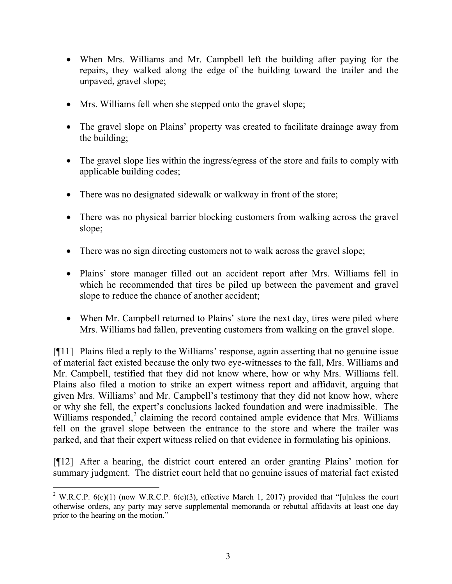- When Mrs. Williams and Mr. Campbell left the building after paying for the repairs, they walked along the edge of the building toward the trailer and the unpaved, gravel slope;
- Mrs. Williams fell when she stepped onto the gravel slope;
- The gravel slope on Plains' property was created to facilitate drainage away from the building;
- The gravel slope lies within the ingress/egress of the store and fails to comply with applicable building codes;
- There was no designated sidewalk or walkway in front of the store;
- There was no physical barrier blocking customers from walking across the gravel slope;
- There was no sign directing customers not to walk across the gravel slope;
- Plains' store manager filled out an accident report after Mrs. Williams fell in which he recommended that tires be piled up between the pavement and gravel slope to reduce the chance of another accident;
- When Mr. Campbell returned to Plains' store the next day, tires were piled where Mrs. Williams had fallen, preventing customers from walking on the gravel slope.

[¶11] Plains filed a reply to the Williams' response, again asserting that no genuine issue of material fact existed because the only two eye-witnesses to the fall, Mrs. Williams and Mr. Campbell, testified that they did not know where, how or why Mrs. Williams fell. Plains also filed a motion to strike an expert witness report and affidavit, arguing that given Mrs. Williams' and Mr. Campbell's testimony that they did not know how, where or why she fell, the expert's conclusions lacked foundation and were inadmissible. The Williams responded, $2$  claiming the record contained ample evidence that Mrs. Williams fell on the gravel slope between the entrance to the store and where the trailer was parked, and that their expert witness relied on that evidence in formulating his opinions.

[¶12] After a hearing, the district court entered an order granting Plains' motion for summary judgment. The district court held that no genuine issues of material fact existed

 $\overline{a}$ <sup>2</sup> W.R.C.P. 6(c)(1) (now W.R.C.P. 6(c)(3), effective March 1, 2017) provided that "[u]nless the court otherwise orders, any party may serve supplemental memoranda or rebuttal affidavits at least one day prior to the hearing on the motion."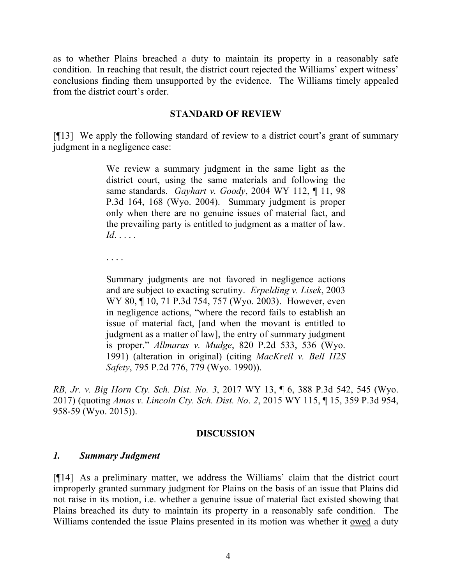as to whether Plains breached a duty to maintain its property in a reasonably safe condition. In reaching that result, the district court rejected the Williams' expert witness' conclusions finding them unsupported by the evidence. The Williams timely appealed from the district court's order.

# **STANDARD OF REVIEW**

[¶13] We apply the following standard of review to a district court's grant of summary judgment in a negligence case:

> We review a summary judgment in the same light as the district court, using the same materials and following the same standards. *Gayhart v. Goody*, 2004 WY 112, ¶ 11, 98 P.3d 164, 168 (Wyo. 2004). Summary judgment is proper only when there are no genuine issues of material fact, and the prevailing party is entitled to judgment as a matter of law. *Id*. . . . .

. . . .

Summary judgments are not favored in negligence actions and are subject to exacting scrutiny. *Erpelding v. Lisek*, 2003 WY 80, ¶ 10, 71 P.3d 754, 757 (Wyo. 2003). However, even in negligence actions, "where the record fails to establish an issue of material fact, [and when the movant is entitled to judgment as a matter of law], the entry of summary judgment is proper." *Allmaras v. Mudge*, 820 P.2d 533, 536 (Wyo. 1991) (alteration in original) (citing *MacKrell v. Bell H2S Safety*, 795 P.2d 776, 779 (Wyo. 1990)).

*RB, Jr. v. Big Horn Cty. Sch. Dist. No. 3*, 2017 WY 13, ¶ 6, 388 P.3d 542, 545 (Wyo. 2017) (quoting *Amos v. Lincoln Cty. Sch. Dist. No*. *2*, 2015 WY 115, ¶ 15, 359 P.3d 954, 958-59 (Wyo. 2015)).

### **DISCUSSION**

### *1. Summary Judgment*

[¶14] As a preliminary matter, we address the Williams' claim that the district court improperly granted summary judgment for Plains on the basis of an issue that Plains did not raise in its motion, i.e. whether a genuine issue of material fact existed showing that Plains breached its duty to maintain its property in a reasonably safe condition. The Williams contended the issue Plains presented in its motion was whether it <u>owed</u> a duty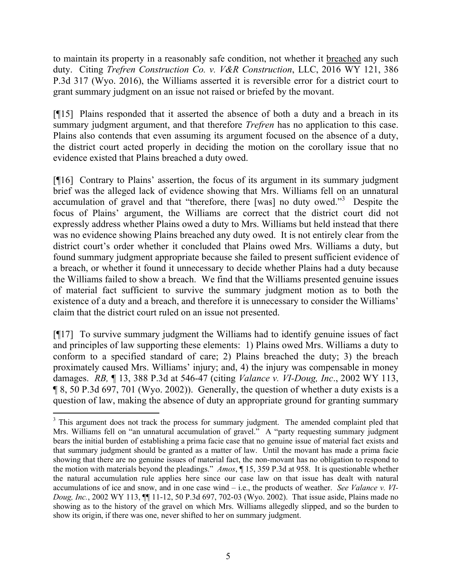to maintain its property in a reasonably safe condition, not whether it breached any such duty. Citing *Trefren Construction Co. v. V&R Construction*, LLC, 2016 WY 121, 386 P.3d 317 (Wyo. 2016), the Williams asserted it is reversible error for a district court to grant summary judgment on an issue not raised or briefed by the movant.

[¶15] Plains responded that it asserted the absence of both a duty and a breach in its summary judgment argument, and that therefore *Trefren* has no application to this case. Plains also contends that even assuming its argument focused on the absence of a duty, the district court acted properly in deciding the motion on the corollary issue that no evidence existed that Plains breached a duty owed.

[¶16] Contrary to Plains' assertion, the focus of its argument in its summary judgment brief was the alleged lack of evidence showing that Mrs. Williams fell on an unnatural accumulation of gravel and that "therefore, there [was] no duty owed."<sup>3</sup> Despite the focus of Plains' argument, the Williams are correct that the district court did not expressly address whether Plains owed a duty to Mrs. Williams but held instead that there was no evidence showing Plains breached any duty owed. It is not entirely clear from the district court's order whether it concluded that Plains owed Mrs. Williams a duty, but found summary judgment appropriate because she failed to present sufficient evidence of a breach, or whether it found it unnecessary to decide whether Plains had a duty because the Williams failed to show a breach. We find that the Williams presented genuine issues of material fact sufficient to survive the summary judgment motion as to both the existence of a duty and a breach, and therefore it is unnecessary to consider the Williams' claim that the district court ruled on an issue not presented.

[¶17] To survive summary judgment the Williams had to identify genuine issues of fact and principles of law supporting these elements: 1) Plains owed Mrs. Williams a duty to conform to a specified standard of care; 2) Plains breached the duty; 3) the breach proximately caused Mrs. Williams' injury; and, 4) the injury was compensable in money damages. *RB,* ¶ 13, 388 P.3d at 546-47 (citing *Valance v. VI-Doug, Inc*., 2002 WY 113, ¶ 8, 50 P.3d 697, 701 (Wyo. 2002)). Generally, the question of whether a duty exists is a question of law, making the absence of duty an appropriate ground for granting summary

<sup>&</sup>lt;sup>3</sup> This argument does not track the process for summary judgment. The amended complaint pled that Mrs. Williams fell on "an unnatural accumulation of gravel." A "party requesting summary judgment bears the initial burden of establishing a prima facie case that no genuine issue of material fact exists and that summary judgment should be granted as a matter of law. Until the movant has made a prima facie showing that there are no genuine issues of material fact, the non-movant has no obligation to respond to the motion with materials beyond the pleadings." *Amos*, ¶ 15, 359 P.3d at 958. It is questionable whether the natural accumulation rule applies here since our case law on that issue has dealt with natural accumulations of ice and snow, and in one case wind – i.e., the products of weather. *See Valance v. VI-Doug, Inc.*, 2002 WY 113, ¶¶ 11-12, 50 P.3d 697, 702-03 (Wyo. 2002). That issue aside, Plains made no showing as to the history of the gravel on which Mrs. Williams allegedly slipped, and so the burden to show its origin, if there was one, never shifted to her on summary judgment.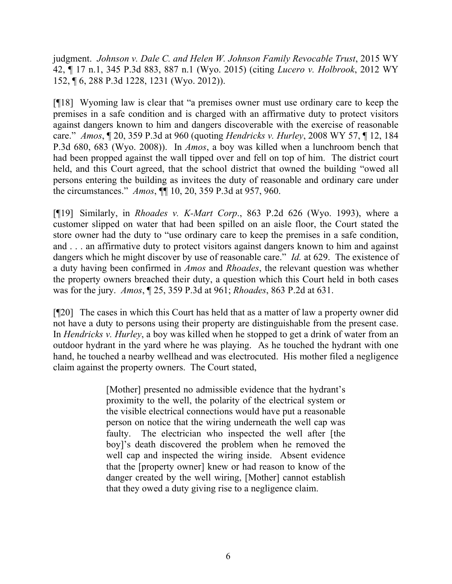judgment. *Johnson v. Dale C. and Helen W. Johnson Family Revocable Trust*, 2015 WY 42, ¶ 17 n.1, 345 P.3d 883, 887 n.1 (Wyo. 2015) (citing *Lucero v. Holbrook*, 2012 WY 152, ¶ 6, 288 P.3d 1228, 1231 (Wyo. 2012)).

[¶18] Wyoming law is clear that "a premises owner must use ordinary care to keep the premises in a safe condition and is charged with an affirmative duty to protect visitors against dangers known to him and dangers discoverable with the exercise of reasonable care." *Amos*, ¶ 20, 359 P.3d at 960 (quoting *Hendricks v. Hurley*, 2008 WY 57, ¶ 12, 184 P.3d 680, 683 (Wyo. 2008)). In *Amos*, a boy was killed when a lunchroom bench that had been propped against the wall tipped over and fell on top of him. The district court held, and this Court agreed, that the school district that owned the building "owed all persons entering the building as invitees the duty of reasonable and ordinary care under the circumstances." *Amos*, ¶¶ 10, 20, 359 P.3d at 957, 960.

[¶19] Similarly, in *Rhoades v. K-Mart Corp*., 863 P.2d 626 (Wyo. 1993), where a customer slipped on water that had been spilled on an aisle floor, the Court stated the store owner had the duty to "use ordinary care to keep the premises in a safe condition, and . . . an affirmative duty to protect visitors against dangers known to him and against dangers which he might discover by use of reasonable care." *Id.* at 629. The existence of a duty having been confirmed in *Amos* and *Rhoades*, the relevant question was whether the property owners breached their duty, a question which this Court held in both cases was for the jury. *Amos*, ¶ 25, 359 P.3d at 961; *Rhoades*, 863 P.2d at 631.

[¶20] The cases in which this Court has held that as a matter of law a property owner did not have a duty to persons using their property are distinguishable from the present case. In *Hendricks v. Hurley*, a boy was killed when he stopped to get a drink of water from an outdoor hydrant in the yard where he was playing. As he touched the hydrant with one hand, he touched a nearby wellhead and was electrocuted. His mother filed a negligence claim against the property owners. The Court stated,

> [Mother] presented no admissible evidence that the hydrant's proximity to the well, the polarity of the electrical system or the visible electrical connections would have put a reasonable person on notice that the wiring underneath the well cap was faulty. The electrician who inspected the well after [the boy]'s death discovered the problem when he removed the well cap and inspected the wiring inside. Absent evidence that the [property owner] knew or had reason to know of the danger created by the well wiring, [Mother] cannot establish that they owed a duty giving rise to a negligence claim.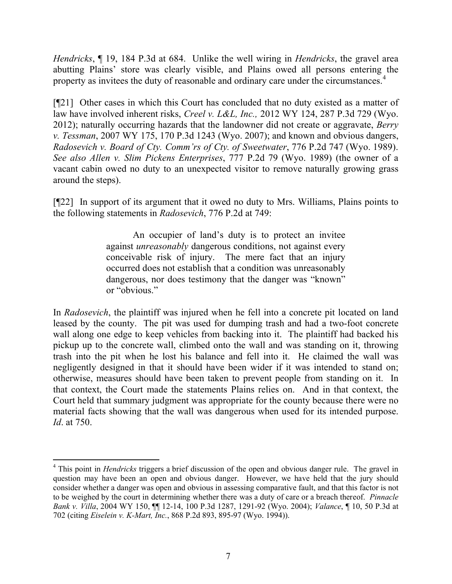*Hendricks*, ¶ 19, 184 P.3d at 684. Unlike the well wiring in *Hendricks*, the gravel area abutting Plains' store was clearly visible, and Plains owed all persons entering the property as invitees the duty of reasonable and ordinary care under the circumstances.<sup>4</sup>

[¶21] Other cases in which this Court has concluded that no duty existed as a matter of law have involved inherent risks, *Creel v. L&L, Inc.,* 2012 WY 124, 287 P.3d 729 (Wyo. 2012); naturally occurring hazards that the landowner did not create or aggravate, *Berry v. Tessman*, 2007 WY 175, 170 P.3d 1243 (Wyo. 2007); and known and obvious dangers, *Radosevich v. Board of Cty. Comm'rs of Cty. of Sweetwater*, 776 P.2d 747 (Wyo. 1989). *See also Allen v. Slim Pickens Enterprises*, 777 P.2d 79 (Wyo. 1989) (the owner of a vacant cabin owed no duty to an unexpected visitor to remove naturally growing grass around the steps).

[¶22] In support of its argument that it owed no duty to Mrs. Williams, Plains points to the following statements in *Radosevich*, 776 P.2d at 749:

> An occupier of land's duty is to protect an invitee against *unreasonably* dangerous conditions, not against every conceivable risk of injury. The mere fact that an injury occurred does not establish that a condition was unreasonably dangerous, nor does testimony that the danger was "known" or "obvious."

In *Radosevich*, the plaintiff was injured when he fell into a concrete pit located on land leased by the county. The pit was used for dumping trash and had a two-foot concrete wall along one edge to keep vehicles from backing into it. The plaintiff had backed his pickup up to the concrete wall, climbed onto the wall and was standing on it, throwing trash into the pit when he lost his balance and fell into it. He claimed the wall was negligently designed in that it should have been wider if it was intended to stand on; otherwise, measures should have been taken to prevent people from standing on it. In that context, the Court made the statements Plains relies on. And in that context, the Court held that summary judgment was appropriate for the county because there were no material facts showing that the wall was dangerous when used for its intended purpose. *Id*. at 750.

<sup>&</sup>lt;sup>4</sup> This point in *Hendricks* triggers a brief discussion of the open and obvious danger rule. The gravel in question may have been an open and obvious danger. However, we have held that the jury should consider whether a danger was open and obvious in assessing comparative fault, and that this factor is not to be weighed by the court in determining whether there was a duty of care or a breach thereof. *Pinnacle Bank v. Villa*, 2004 WY 150, ¶¶ 12-14, 100 P.3d 1287, 1291-92 (Wyo. 2004); *Valance*, ¶ 10, 50 P.3d at 702 (citing *Eiselein v. K-Mart, Inc.*, 868 P.2d 893, 895-97 (Wyo. 1994)).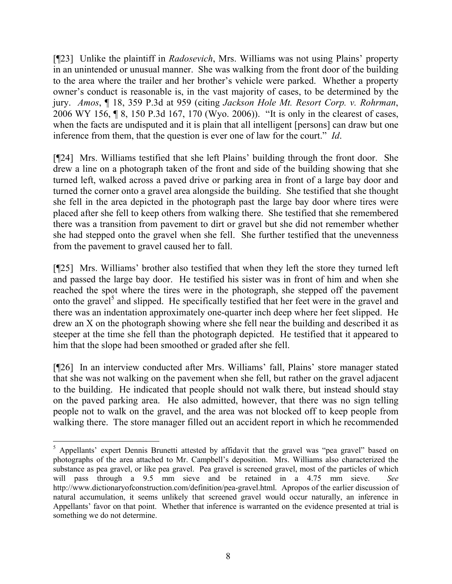[¶23] Unlike the plaintiff in *Radosevich*, Mrs. Williams was not using Plains' property in an unintended or unusual manner. She was walking from the front door of the building to the area where the trailer and her brother's vehicle were parked. Whether a property owner's conduct is reasonable is, in the vast majority of cases, to be determined by the jury. *Amos*, ¶ 18, 359 P.3d at 959 (citing *Jackson Hole Mt. Resort Corp. v. Rohrman*, 2006 WY 156, ¶ 8, 150 P.3d 167, 170 (Wyo. 2006)). "It is only in the clearest of cases, when the facts are undisputed and it is plain that all intelligent [persons] can draw but one inference from them, that the question is ever one of law for the court." *Id*.

[¶24] Mrs. Williams testified that she left Plains' building through the front door. She drew a line on a photograph taken of the front and side of the building showing that she turned left, walked across a paved drive or parking area in front of a large bay door and turned the corner onto a gravel area alongside the building. She testified that she thought she fell in the area depicted in the photograph past the large bay door where tires were placed after she fell to keep others from walking there. She testified that she remembered there was a transition from pavement to dirt or gravel but she did not remember whether she had stepped onto the gravel when she fell. She further testified that the unevenness from the pavement to gravel caused her to fall.

[¶25] Mrs. Williams' brother also testified that when they left the store they turned left and passed the large bay door. He testified his sister was in front of him and when she reached the spot where the tires were in the photograph, she stepped off the pavement onto the gravel<sup>5</sup> and slipped. He specifically testified that her feet were in the gravel and there was an indentation approximately one-quarter inch deep where her feet slipped. He drew an X on the photograph showing where she fell near the building and described it as steeper at the time she fell than the photograph depicted. He testified that it appeared to him that the slope had been smoothed or graded after she fell.

[¶26] In an interview conducted after Mrs. Williams' fall, Plains' store manager stated that she was not walking on the pavement when she fell, but rather on the gravel adjacent to the building. He indicated that people should not walk there, but instead should stay on the paved parking area. He also admitted, however, that there was no sign telling people not to walk on the gravel, and the area was not blocked off to keep people from walking there. The store manager filled out an accident report in which he recommended

<sup>&</sup>lt;sup>5</sup> Appellants' expert Dennis Brunetti attested by affidavit that the gravel was "pea gravel" based on photographs of the area attached to Mr. Campbell's deposition. Mrs. Williams also characterized the substance as pea gravel, or like pea gravel. Pea gravel is screened gravel, most of the particles of which will pass through a 9.5 mm sieve and be retained in a 4.75 mm sieve. *See*  http://www.dictionaryofconstruction.com/definition/pea-gravel.html. Apropos of the earlier discussion of natural accumulation, it seems unlikely that screened gravel would occur naturally, an inference in Appellants' favor on that point. Whether that inference is warranted on the evidence presented at trial is something we do not determine.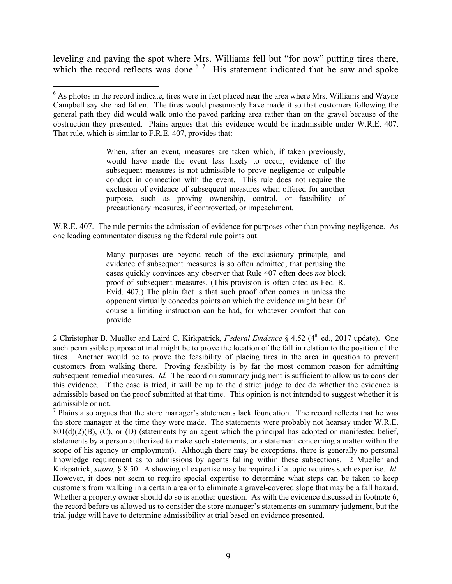leveling and paving the spot where Mrs. Williams fell but "for now" putting tires there, which the record reflects was done.<sup>6 7</sup> His statement indicated that he saw and spoke

When, after an event, measures are taken which, if taken previously, would have made the event less likely to occur, evidence of the subsequent measures is not admissible to prove negligence or culpable conduct in connection with the event. This rule does not require the exclusion of evidence of subsequent measures when offered for another purpose, such as proving ownership, control, or feasibility of precautionary measures, if controverted, or impeachment.

W.R.E. 407. The rule permits the admission of evidence for purposes other than proving negligence. As one leading commentator discussing the federal rule points out:

> Many purposes are beyond reach of the exclusionary principle, and evidence of subsequent measures is so often admitted, that perusing the cases quickly convinces any observer that Rule 407 often does *not* block proof of subsequent measures. (This provision is often cited as Fed. R. Evid. 407.) The plain fact is that such proof often comes in unless the opponent virtually concedes points on which the evidence might bear. Of course a limiting instruction can be had, for whatever comfort that can provide.

2 Christopher B. Mueller and Laird C. Kirkpatrick, *Federal Evidence* § 4.52 (4<sup>th</sup> ed., 2017 update). One such permissible purpose at trial might be to prove the location of the fall in relation to the position of the tires. Another would be to prove the feasibility of placing tires in the area in question to prevent customers from walking there. Proving feasibility is by far the most common reason for admitting subsequent remedial measures. *Id.* The record on summary judgment is sufficient to allow us to consider this evidence. If the case is tried, it will be up to the district judge to decide whether the evidence is admissible based on the proof submitted at that time. This opinion is not intended to suggest whether it is admissible or not.

 $<sup>7</sup>$  Plains also argues that the store manager's statements lack foundation. The record reflects that he was</sup> the store manager at the time they were made. The statements were probably not hearsay under W.R.E.  $801(d)(2)(B)$ , (C), or (D) (statements by an agent which the principal has adopted or manifested belief, statements by a person authorized to make such statements, or a statement concerning a matter within the scope of his agency or employment). Although there may be exceptions, there is generally no personal knowledge requirement as to admissions by agents falling within these subsections. 2 Mueller and Kirkpatrick, *supra,* § 8.50. A showing of expertise may be required if a topic requires such expertise. *Id*. However, it does not seem to require special expertise to determine what steps can be taken to keep customers from walking in a certain area or to eliminate a gravel-covered slope that may be a fall hazard. Whether a property owner should do so is another question. As with the evidence discussed in footnote 6, the record before us allowed us to consider the store manager's statements on summary judgment, but the trial judge will have to determine admissibility at trial based on evidence presented.

l <sup>6</sup> As photos in the record indicate, tires were in fact placed near the area where Mrs. Williams and Wayne Campbell say she had fallen. The tires would presumably have made it so that customers following the general path they did would walk onto the paved parking area rather than on the gravel because of the obstruction they presented. Plains argues that this evidence would be inadmissible under W.R.E. 407. That rule, which is similar to F.R.E. 407, provides that: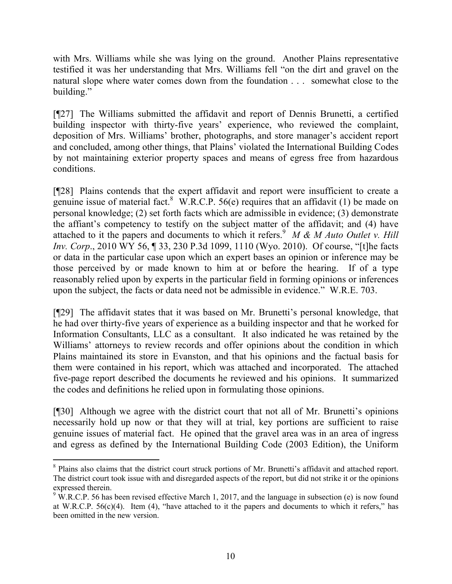with Mrs. Williams while she was lying on the ground. Another Plains representative testified it was her understanding that Mrs. Williams fell "on the dirt and gravel on the natural slope where water comes down from the foundation . . . somewhat close to the building."

[¶27] The Williams submitted the affidavit and report of Dennis Brunetti, a certified building inspector with thirty-five years' experience, who reviewed the complaint, deposition of Mrs. Williams' brother, photographs, and store manager's accident report and concluded, among other things, that Plains' violated the International Building Codes by not maintaining exterior property spaces and means of egress free from hazardous conditions.

[¶28] Plains contends that the expert affidavit and report were insufficient to create a genuine issue of material fact. W.R.C.P. 56(e) requires that an affidavit (1) be made on personal knowledge; (2) set forth facts which are admissible in evidence; (3) demonstrate the affiant's competency to testify on the subject matter of the affidavit; and (4) have attached to it the papers and documents to which it refers.<sup>9</sup>  $M \& M$  Auto Outlet v. Hill *Inv. Corp*., 2010 WY 56, ¶ 33, 230 P.3d 1099, 1110 (Wyo. 2010). Of course, "[t]he facts or data in the particular case upon which an expert bases an opinion or inference may be those perceived by or made known to him at or before the hearing. If of a type reasonably relied upon by experts in the particular field in forming opinions or inferences upon the subject, the facts or data need not be admissible in evidence." W.R.E. 703.

[¶29] The affidavit states that it was based on Mr. Brunetti's personal knowledge, that he had over thirty-five years of experience as a building inspector and that he worked for Information Consultants, LLC as a consultant. It also indicated he was retained by the Williams' attorneys to review records and offer opinions about the condition in which Plains maintained its store in Evanston, and that his opinions and the factual basis for them were contained in his report, which was attached and incorporated. The attached five-page report described the documents he reviewed and his opinions. It summarized the codes and definitions he relied upon in formulating those opinions.

[¶30] Although we agree with the district court that not all of Mr. Brunetti's opinions necessarily hold up now or that they will at trial, key portions are sufficient to raise genuine issues of material fact. He opined that the gravel area was in an area of ingress and egress as defined by the International Building Code (2003 Edition), the Uniform

<sup>&</sup>lt;sup>8</sup> Plains also claims that the district court struck portions of Mr. Brunetti's affidavit and attached report. The district court took issue with and disregarded aspects of the report, but did not strike it or the opinions expressed therein.

<sup>&</sup>lt;sup>9</sup> W.R.C.P. 56 has been revised effective March 1, 2017, and the language in subsection (e) is now found at W.R.C.P.  $56(c)(4)$ . Item (4), "have attached to it the papers and documents to which it refers," has been omitted in the new version.